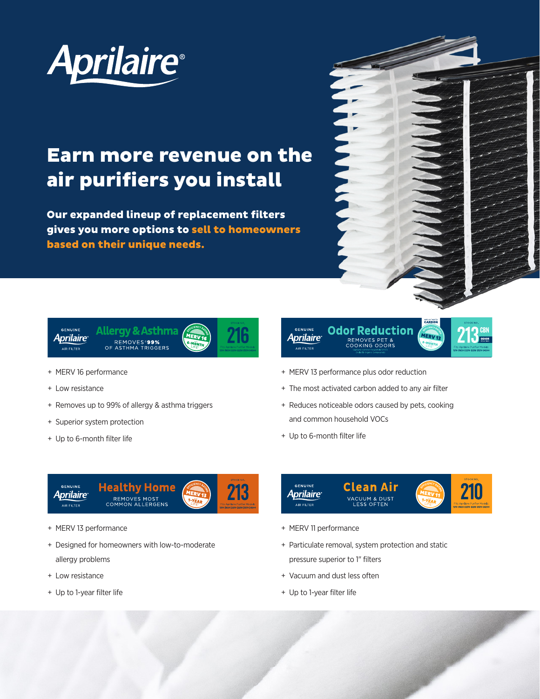

## Earn more revenue on the air purifiers you install

Our expanded lineup of replacement filters gives you more options to sell to homeowners based on their unique needs.



MERV<sub>13</sub>



- + MERV 16 performance
- + Low resistance
- + Removes up to 99% of allergy & asthma triggers
- + Superior system protection
- + Up to 6-month filter life

+ MERV 13 performance plus odor reduction

+ The most activated carbon added to any air filter

**Odor Reduction** 

REMOVES PET &<br>COOKING ODORS

- + Reduces noticeable odors caused by pets, cooking and common household VOCs
- + Up to 6-month filter life

GENUINE

**Aprilaire** 

AIR FILTER



- + MERV 13 performance
- + Designed for homeowners with low-to-moderate allergy problems
- + Low resistance
- + Up to 1-year filter life



- + MERV 11 performance
- + Particulate removal, system protection and static pressure superior to 1" filters
- + Vacuum and dust less often
- + Up to 1-year filter life